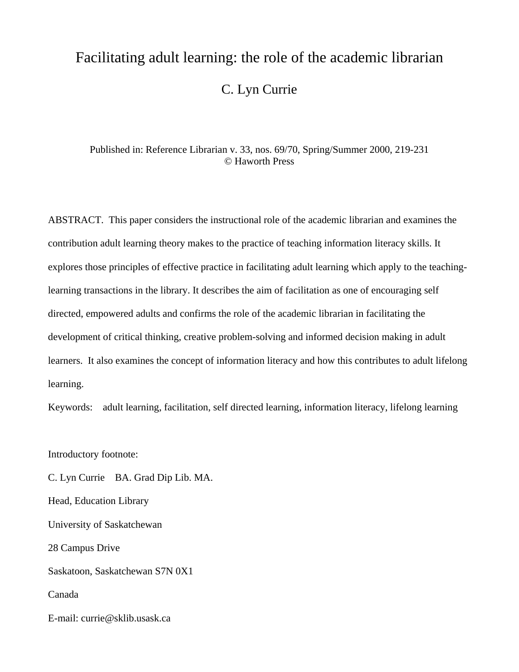# Facilitating adult learning: the role of the academic librarian C. Lyn Currie

Published in: Reference Librarian v. 33, nos. 69/70, Spring/Summer 2000, 219-231 © Haworth Press

ABSTRACT. This paper considers the instructional role of the academic librarian and examines the contribution adult learning theory makes to the practice of teaching information literacy skills. It explores those principles of effective practice in facilitating adult learning which apply to the teachinglearning transactions in the library. It describes the aim of facilitation as one of encouraging self directed, empowered adults and confirms the role of the academic librarian in facilitating the development of critical thinking, creative problem-solving and informed decision making in adult learners. It also examines the concept of information literacy and how this contributes to adult lifelong learning.

Keywords: adult learning, facilitation, self directed learning, information literacy, lifelong learning

Introductory footnote:

C. Lyn Currie BA. Grad Dip Lib. MA. Head, Education Library University of Saskatchewan 28 Campus Drive Saskatoon, Saskatchewan S7N 0X1 Canada E-mail: currie@sklib.usask.ca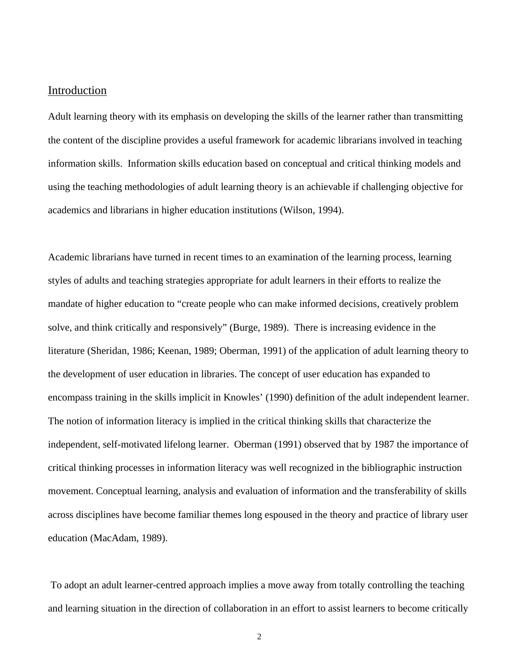#### Introduction

Adult learning theory with its emphasis on developing the skills of the learner rather than transmitting the content of the discipline provides a useful framework for academic librarians involved in teaching information skills. Information skills education based on conceptual and critical thinking models and using the teaching methodologies of adult learning theory is an achievable if challenging objective for academics and librarians in higher education institutions (Wilson, 1994).

Academic librarians have turned in recent times to an examination of the learning process, learning styles of adults and teaching strategies appropriate for adult learners in their efforts to realize the mandate of higher education to "create people who can make informed decisions, creatively problem solve, and think critically and responsively" (Burge, 1989). There is increasing evidence in the literature (Sheridan, 1986; Keenan, 1989; Oberman, 1991) of the application of adult learning theory to the development of user education in libraries. The concept of user education has expanded to encompass training in the skills implicit in Knowles' (1990) definition of the adult independent learner. The notion of information literacy is implied in the critical thinking skills that characterize the independent, self-motivated lifelong learner. Oberman (1991) observed that by 1987 the importance of critical thinking processes in information literacy was well recognized in the bibliographic instruction movement. Conceptual learning, analysis and evaluation of information and the transferability of skills across disciplines have become familiar themes long espoused in the theory and practice of library user education (MacAdam, 1989).

 To adopt an adult learner-centred approach implies a move away from totally controlling the teaching and learning situation in the direction of collaboration in an effort to assist learners to become critically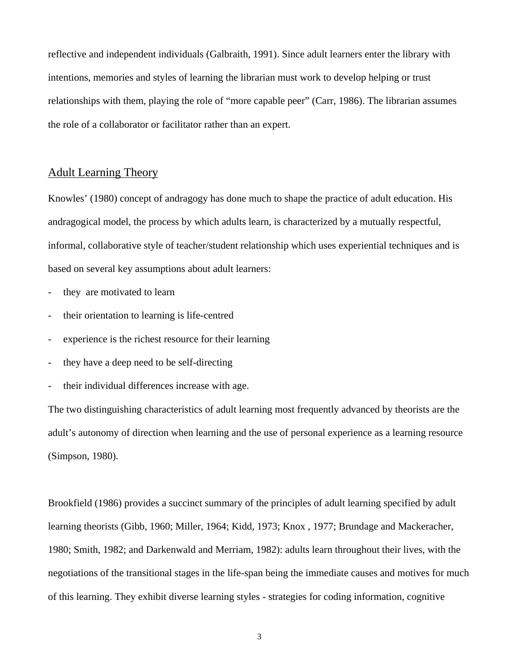reflective and independent individuals (Galbraith, 1991). Since adult learners enter the library with intentions, memories and styles of learning the librarian must work to develop helping or trust relationships with them, playing the role of "more capable peer" (Carr, 1986). The librarian assumes the role of a collaborator or facilitator rather than an expert.

## Adult Learning Theory

Knowles' (1980) concept of andragogy has done much to shape the practice of adult education. His andragogical model, the process by which adults learn, is characterized by a mutually respectful, informal, collaborative style of teacher/student relationship which uses experiential techniques and is based on several key assumptions about adult learners:

- they are motivated to learn
- their orientation to learning is life-centred
- experience is the richest resource for their learning
- they have a deep need to be self-directing
- their individual differences increase with age.

The two distinguishing characteristics of adult learning most frequently advanced by theorists are the adult's autonomy of direction when learning and the use of personal experience as a learning resource (Simpson, 1980).

Brookfield (1986) provides a succinct summary of the principles of adult learning specified by adult learning theorists (Gibb, 1960; Miller, 1964; Kidd, 1973; Knox , 1977; Brundage and Mackeracher, 1980; Smith, 1982; and Darkenwald and Merriam, 1982): adults learn throughout their lives, with the negotiations of the transitional stages in the life-span being the immediate causes and motives for much of this learning. They exhibit diverse learning styles - strategies for coding information, cognitive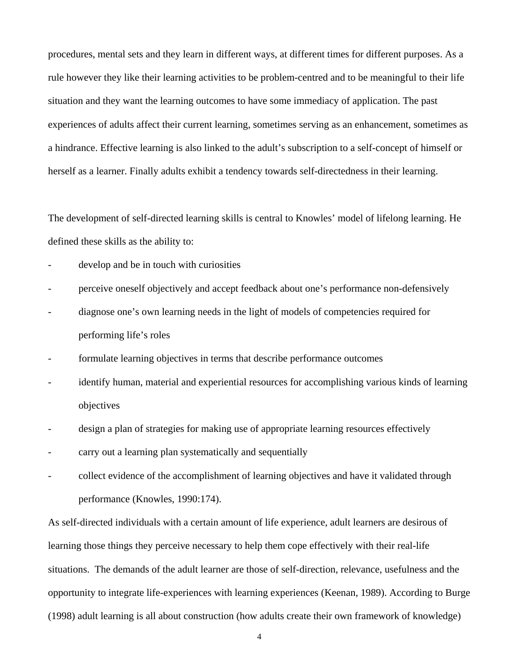procedures, mental sets and they learn in different ways, at different times for different purposes. As a rule however they like their learning activities to be problem-centred and to be meaningful to their life situation and they want the learning outcomes to have some immediacy of application. The past experiences of adults affect their current learning, sometimes serving as an enhancement, sometimes as a hindrance. Effective learning is also linked to the adult's subscription to a self-concept of himself or herself as a learner. Finally adults exhibit a tendency towards self-directedness in their learning.

The development of self-directed learning skills is central to Knowles' model of lifelong learning. He defined these skills as the ability to:

- develop and be in touch with curiosities
- perceive oneself objectively and accept feedback about one's performance non-defensively
- diagnose one's own learning needs in the light of models of competencies required for performing life's roles
- formulate learning objectives in terms that describe performance outcomes
- identify human, material and experiential resources for accomplishing various kinds of learning objectives
- design a plan of strategies for making use of appropriate learning resources effectively
- carry out a learning plan systematically and sequentially
- collect evidence of the accomplishment of learning objectives and have it validated through performance (Knowles, 1990:174).

As self-directed individuals with a certain amount of life experience, adult learners are desirous of learning those things they perceive necessary to help them cope effectively with their real-life situations. The demands of the adult learner are those of self-direction, relevance, usefulness and the opportunity to integrate life-experiences with learning experiences (Keenan, 1989). According to Burge (1998) adult learning is all about construction (how adults create their own framework of knowledge)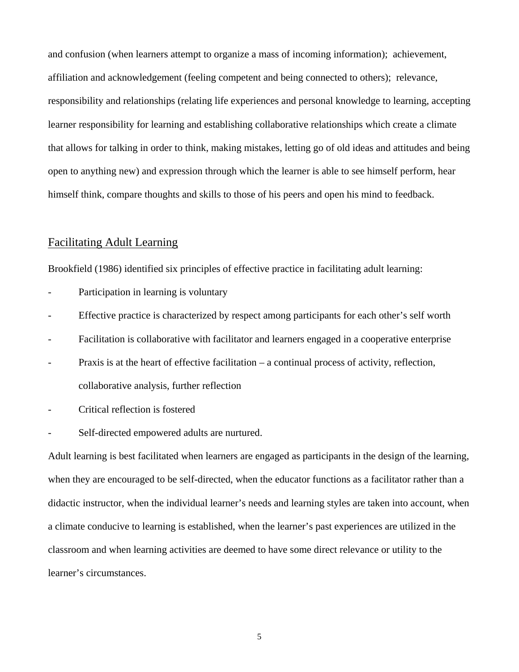and confusion (when learners attempt to organize a mass of incoming information); achievement, affiliation and acknowledgement (feeling competent and being connected to others); relevance, responsibility and relationships (relating life experiences and personal knowledge to learning, accepting learner responsibility for learning and establishing collaborative relationships which create a climate that allows for talking in order to think, making mistakes, letting go of old ideas and attitudes and being open to anything new) and expression through which the learner is able to see himself perform, hear himself think, compare thoughts and skills to those of his peers and open his mind to feedback.

# Facilitating Adult Learning

Brookfield (1986) identified six principles of effective practice in facilitating adult learning:

- Participation in learning is voluntary
- Effective practice is characterized by respect among participants for each other's self worth
- Facilitation is collaborative with facilitator and learners engaged in a cooperative enterprise
- Praxis is at the heart of effective facilitation  $-$  a continual process of activity, reflection, collaborative analysis, further reflection
- Critical reflection is fostered
- Self-directed empowered adults are nurtured.

Adult learning is best facilitated when learners are engaged as participants in the design of the learning, when they are encouraged to be self-directed, when the educator functions as a facilitator rather than a didactic instructor, when the individual learner's needs and learning styles are taken into account, when a climate conducive to learning is established, when the learner's past experiences are utilized in the classroom and when learning activities are deemed to have some direct relevance or utility to the learner's circumstances.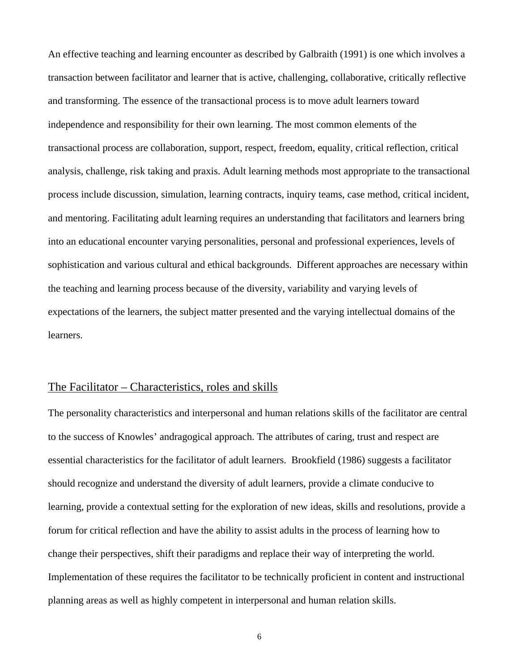An effective teaching and learning encounter as described by Galbraith (1991) is one which involves a transaction between facilitator and learner that is active, challenging, collaborative, critically reflective and transforming. The essence of the transactional process is to move adult learners toward independence and responsibility for their own learning. The most common elements of the transactional process are collaboration, support, respect, freedom, equality, critical reflection, critical analysis, challenge, risk taking and praxis. Adult learning methods most appropriate to the transactional process include discussion, simulation, learning contracts, inquiry teams, case method, critical incident, and mentoring. Facilitating adult learning requires an understanding that facilitators and learners bring into an educational encounter varying personalities, personal and professional experiences, levels of sophistication and various cultural and ethical backgrounds. Different approaches are necessary within the teaching and learning process because of the diversity, variability and varying levels of expectations of the learners, the subject matter presented and the varying intellectual domains of the learners.

## The Facilitator – Characteristics, roles and skills

The personality characteristics and interpersonal and human relations skills of the facilitator are central to the success of Knowles' andragogical approach. The attributes of caring, trust and respect are essential characteristics for the facilitator of adult learners. Brookfield (1986) suggests a facilitator should recognize and understand the diversity of adult learners, provide a climate conducive to learning, provide a contextual setting for the exploration of new ideas, skills and resolutions, provide a forum for critical reflection and have the ability to assist adults in the process of learning how to change their perspectives, shift their paradigms and replace their way of interpreting the world. Implementation of these requires the facilitator to be technically proficient in content and instructional planning areas as well as highly competent in interpersonal and human relation skills.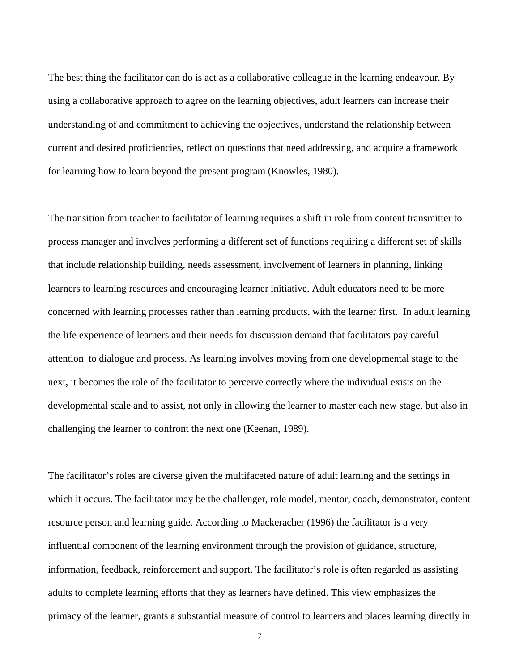The best thing the facilitator can do is act as a collaborative colleague in the learning endeavour. By using a collaborative approach to agree on the learning objectives, adult learners can increase their understanding of and commitment to achieving the objectives, understand the relationship between current and desired proficiencies, reflect on questions that need addressing, and acquire a framework for learning how to learn beyond the present program (Knowles, 1980).

The transition from teacher to facilitator of learning requires a shift in role from content transmitter to process manager and involves performing a different set of functions requiring a different set of skills that include relationship building, needs assessment, involvement of learners in planning, linking learners to learning resources and encouraging learner initiative. Adult educators need to be more concerned with learning processes rather than learning products, with the learner first. In adult learning the life experience of learners and their needs for discussion demand that facilitators pay careful attention to dialogue and process. As learning involves moving from one developmental stage to the next, it becomes the role of the facilitator to perceive correctly where the individual exists on the developmental scale and to assist, not only in allowing the learner to master each new stage, but also in challenging the learner to confront the next one (Keenan, 1989).

The facilitator's roles are diverse given the multifaceted nature of adult learning and the settings in which it occurs. The facilitator may be the challenger, role model, mentor, coach, demonstrator, content resource person and learning guide. According to Mackeracher (1996) the facilitator is a very influential component of the learning environment through the provision of guidance, structure, information, feedback, reinforcement and support. The facilitator's role is often regarded as assisting adults to complete learning efforts that they as learners have defined. This view emphasizes the primacy of the learner, grants a substantial measure of control to learners and places learning directly in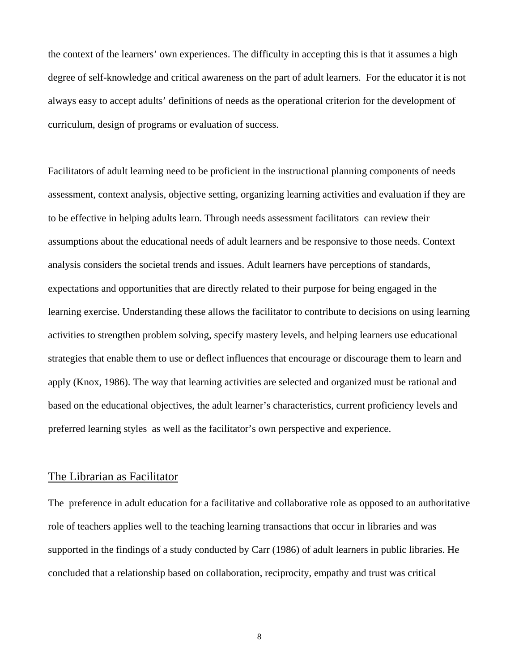the context of the learners' own experiences. The difficulty in accepting this is that it assumes a high degree of self-knowledge and critical awareness on the part of adult learners. For the educator it is not always easy to accept adults' definitions of needs as the operational criterion for the development of curriculum, design of programs or evaluation of success.

Facilitators of adult learning need to be proficient in the instructional planning components of needs assessment, context analysis, objective setting, organizing learning activities and evaluation if they are to be effective in helping adults learn. Through needs assessment facilitators can review their assumptions about the educational needs of adult learners and be responsive to those needs. Context analysis considers the societal trends and issues. Adult learners have perceptions of standards, expectations and opportunities that are directly related to their purpose for being engaged in the learning exercise. Understanding these allows the facilitator to contribute to decisions on using learning activities to strengthen problem solving, specify mastery levels, and helping learners use educational strategies that enable them to use or deflect influences that encourage or discourage them to learn and apply (Knox, 1986). The way that learning activities are selected and organized must be rational and based on the educational objectives, the adult learner's characteristics, current proficiency levels and preferred learning styles as well as the facilitator's own perspective and experience.

# The Librarian as Facilitator

The preference in adult education for a facilitative and collaborative role as opposed to an authoritative role of teachers applies well to the teaching learning transactions that occur in libraries and was supported in the findings of a study conducted by Carr (1986) of adult learners in public libraries. He concluded that a relationship based on collaboration, reciprocity, empathy and trust was critical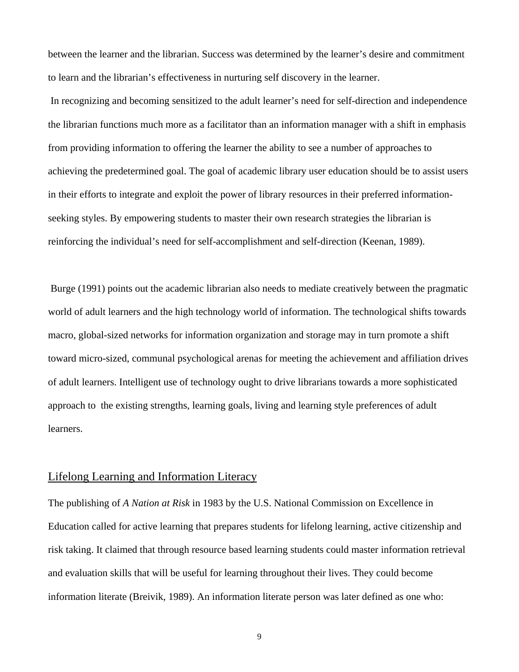between the learner and the librarian. Success was determined by the learner's desire and commitment to learn and the librarian's effectiveness in nurturing self discovery in the learner.

 In recognizing and becoming sensitized to the adult learner's need for self-direction and independence the librarian functions much more as a facilitator than an information manager with a shift in emphasis from providing information to offering the learner the ability to see a number of approaches to achieving the predetermined goal. The goal of academic library user education should be to assist users in their efforts to integrate and exploit the power of library resources in their preferred informationseeking styles. By empowering students to master their own research strategies the librarian is reinforcing the individual's need for self-accomplishment and self-direction (Keenan, 1989).

 Burge (1991) points out the academic librarian also needs to mediate creatively between the pragmatic world of adult learners and the high technology world of information. The technological shifts towards macro, global-sized networks for information organization and storage may in turn promote a shift toward micro-sized, communal psychological arenas for meeting the achievement and affiliation drives of adult learners. Intelligent use of technology ought to drive librarians towards a more sophisticated approach to the existing strengths, learning goals, living and learning style preferences of adult learners.

### Lifelong Learning and Information Literacy

The publishing of *A Nation at Risk* in 1983 by the U.S. National Commission on Excellence in Education called for active learning that prepares students for lifelong learning, active citizenship and risk taking. It claimed that through resource based learning students could master information retrieval and evaluation skills that will be useful for learning throughout their lives. They could become information literate (Breivik, 1989). An information literate person was later defined as one who: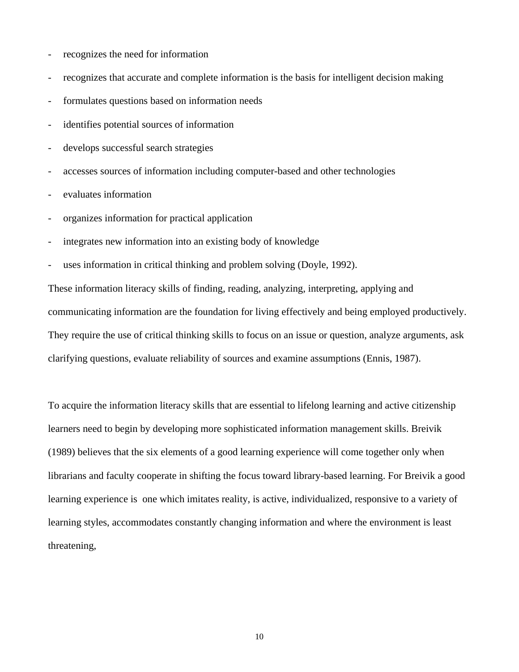- recognizes the need for information
- recognizes that accurate and complete information is the basis for intelligent decision making
- formulates questions based on information needs
- identifies potential sources of information
- develops successful search strategies
- accesses sources of information including computer-based and other technologies
- evaluates information
- organizes information for practical application
- integrates new information into an existing body of knowledge
- uses information in critical thinking and problem solving (Doyle, 1992).

These information literacy skills of finding, reading, analyzing, interpreting, applying and communicating information are the foundation for living effectively and being employed productively. They require the use of critical thinking skills to focus on an issue or question, analyze arguments, ask clarifying questions, evaluate reliability of sources and examine assumptions (Ennis, 1987).

To acquire the information literacy skills that are essential to lifelong learning and active citizenship learners need to begin by developing more sophisticated information management skills. Breivik (1989) believes that the six elements of a good learning experience will come together only when librarians and faculty cooperate in shifting the focus toward library-based learning. For Breivik a good learning experience is one which imitates reality, is active, individualized, responsive to a variety of learning styles, accommodates constantly changing information and where the environment is least threatening,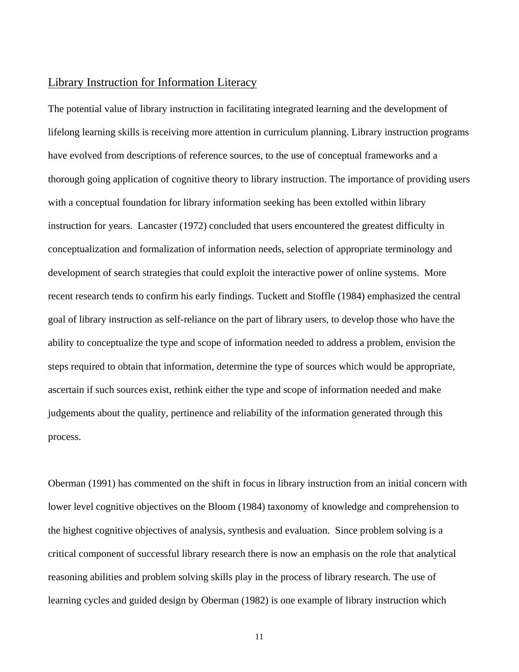#### Library Instruction for Information Literacy

The potential value of library instruction in facilitating integrated learning and the development of lifelong learning skills is receiving more attention in curriculum planning. Library instruction programs have evolved from descriptions of reference sources, to the use of conceptual frameworks and a thorough going application of cognitive theory to library instruction. The importance of providing users with a conceptual foundation for library information seeking has been extolled within library instruction for years. Lancaster (1972) concluded that users encountered the greatest difficulty in conceptualization and formalization of information needs, selection of appropriate terminology and development of search strategies that could exploit the interactive power of online systems. More recent research tends to confirm his early findings. Tuckett and Stoffle (1984) emphasized the central goal of library instruction as self-reliance on the part of library users, to develop those who have the ability to conceptualize the type and scope of information needed to address a problem, envision the steps required to obtain that information, determine the type of sources which would be appropriate, ascertain if such sources exist, rethink either the type and scope of information needed and make judgements about the quality, pertinence and reliability of the information generated through this process.

Oberman (1991) has commented on the shift in focus in library instruction from an initial concern with lower level cognitive objectives on the Bloom (1984) taxonomy of knowledge and comprehension to the highest cognitive objectives of analysis, synthesis and evaluation. Since problem solving is a critical component of successful library research there is now an emphasis on the role that analytical reasoning abilities and problem solving skills play in the process of library research. The use of learning cycles and guided design by Oberman (1982) is one example of library instruction which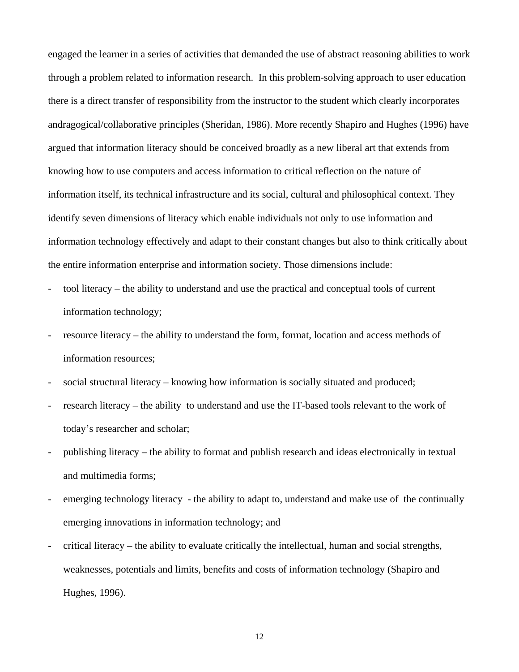engaged the learner in a series of activities that demanded the use of abstract reasoning abilities to work through a problem related to information research. In this problem-solving approach to user education there is a direct transfer of responsibility from the instructor to the student which clearly incorporates andragogical/collaborative principles (Sheridan, 1986). More recently Shapiro and Hughes (1996) have argued that information literacy should be conceived broadly as a new liberal art that extends from knowing how to use computers and access information to critical reflection on the nature of information itself, its technical infrastructure and its social, cultural and philosophical context. They identify seven dimensions of literacy which enable individuals not only to use information and information technology effectively and adapt to their constant changes but also to think critically about the entire information enterprise and information society. Those dimensions include:

- tool literacy the ability to understand and use the practical and conceptual tools of current information technology;
- resource literacy the ability to understand the form, format, location and access methods of information resources;
- social structural literacy knowing how information is socially situated and produced;
- research literacy the ability to understand and use the IT-based tools relevant to the work of today's researcher and scholar;
- publishing literacy the ability to format and publish research and ideas electronically in textual and multimedia forms;
- emerging technology literacy the ability to adapt to, understand and make use of the continually emerging innovations in information technology; and
- critical literacy the ability to evaluate critically the intellectual, human and social strengths, weaknesses, potentials and limits, benefits and costs of information technology (Shapiro and Hughes, 1996).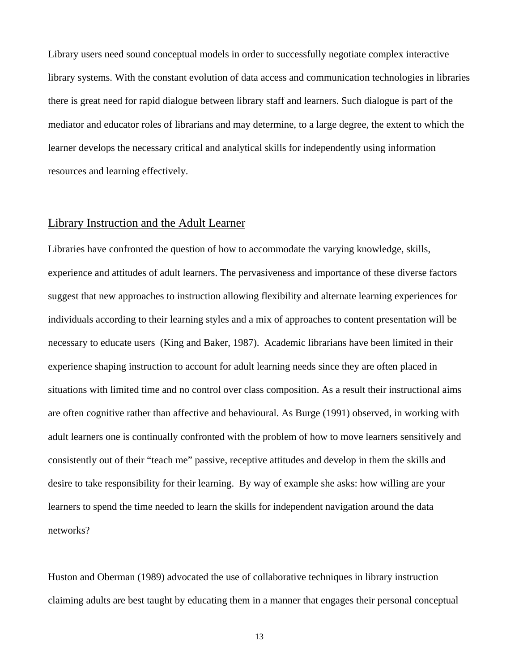Library users need sound conceptual models in order to successfully negotiate complex interactive library systems. With the constant evolution of data access and communication technologies in libraries there is great need for rapid dialogue between library staff and learners. Such dialogue is part of the mediator and educator roles of librarians and may determine, to a large degree, the extent to which the learner develops the necessary critical and analytical skills for independently using information resources and learning effectively.

# Library Instruction and the Adult Learner

Libraries have confronted the question of how to accommodate the varying knowledge, skills, experience and attitudes of adult learners. The pervasiveness and importance of these diverse factors suggest that new approaches to instruction allowing flexibility and alternate learning experiences for individuals according to their learning styles and a mix of approaches to content presentation will be necessary to educate users (King and Baker, 1987). Academic librarians have been limited in their experience shaping instruction to account for adult learning needs since they are often placed in situations with limited time and no control over class composition. As a result their instructional aims are often cognitive rather than affective and behavioural. As Burge (1991) observed, in working with adult learners one is continually confronted with the problem of how to move learners sensitively and consistently out of their "teach me" passive, receptive attitudes and develop in them the skills and desire to take responsibility for their learning. By way of example she asks: how willing are your learners to spend the time needed to learn the skills for independent navigation around the data networks?

Huston and Oberman (1989) advocated the use of collaborative techniques in library instruction claiming adults are best taught by educating them in a manner that engages their personal conceptual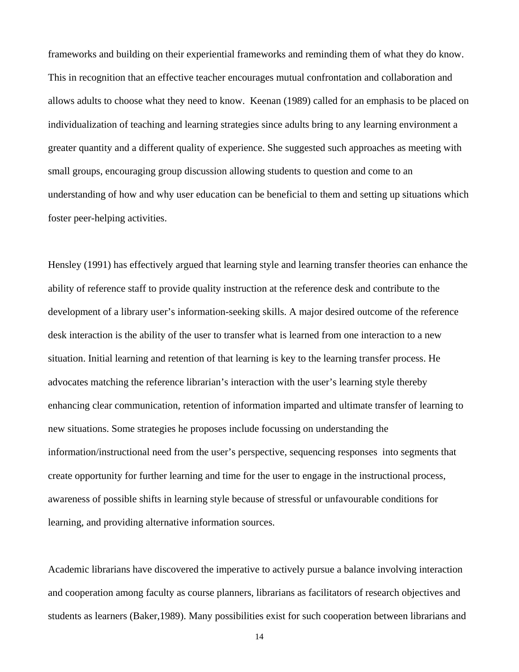frameworks and building on their experiential frameworks and reminding them of what they do know. This in recognition that an effective teacher encourages mutual confrontation and collaboration and allows adults to choose what they need to know. Keenan (1989) called for an emphasis to be placed on individualization of teaching and learning strategies since adults bring to any learning environment a greater quantity and a different quality of experience. She suggested such approaches as meeting with small groups, encouraging group discussion allowing students to question and come to an understanding of how and why user education can be beneficial to them and setting up situations which foster peer-helping activities.

Hensley (1991) has effectively argued that learning style and learning transfer theories can enhance the ability of reference staff to provide quality instruction at the reference desk and contribute to the development of a library user's information-seeking skills. A major desired outcome of the reference desk interaction is the ability of the user to transfer what is learned from one interaction to a new situation. Initial learning and retention of that learning is key to the learning transfer process. He advocates matching the reference librarian's interaction with the user's learning style thereby enhancing clear communication, retention of information imparted and ultimate transfer of learning to new situations. Some strategies he proposes include focussing on understanding the information/instructional need from the user's perspective, sequencing responses into segments that create opportunity for further learning and time for the user to engage in the instructional process, awareness of possible shifts in learning style because of stressful or unfavourable conditions for learning, and providing alternative information sources.

Academic librarians have discovered the imperative to actively pursue a balance involving interaction and cooperation among faculty as course planners, librarians as facilitators of research objectives and students as learners (Baker,1989). Many possibilities exist for such cooperation between librarians and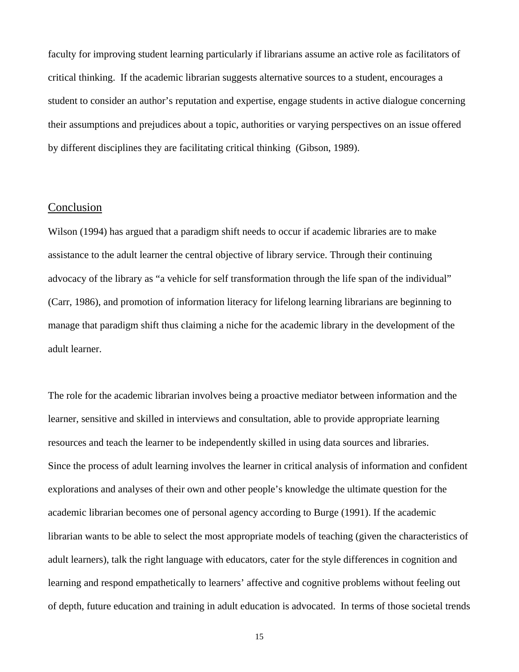faculty for improving student learning particularly if librarians assume an active role as facilitators of critical thinking. If the academic librarian suggests alternative sources to a student, encourages a student to consider an author's reputation and expertise, engage students in active dialogue concerning their assumptions and prejudices about a topic, authorities or varying perspectives on an issue offered by different disciplines they are facilitating critical thinking (Gibson, 1989).

## Conclusion

Wilson (1994) has argued that a paradigm shift needs to occur if academic libraries are to make assistance to the adult learner the central objective of library service. Through their continuing advocacy of the library as "a vehicle for self transformation through the life span of the individual" (Carr, 1986), and promotion of information literacy for lifelong learning librarians are beginning to manage that paradigm shift thus claiming a niche for the academic library in the development of the adult learner.

The role for the academic librarian involves being a proactive mediator between information and the learner, sensitive and skilled in interviews and consultation, able to provide appropriate learning resources and teach the learner to be independently skilled in using data sources and libraries. Since the process of adult learning involves the learner in critical analysis of information and confident explorations and analyses of their own and other people's knowledge the ultimate question for the academic librarian becomes one of personal agency according to Burge (1991). If the academic librarian wants to be able to select the most appropriate models of teaching (given the characteristics of adult learners), talk the right language with educators, cater for the style differences in cognition and learning and respond empathetically to learners' affective and cognitive problems without feeling out of depth, future education and training in adult education is advocated. In terms of those societal trends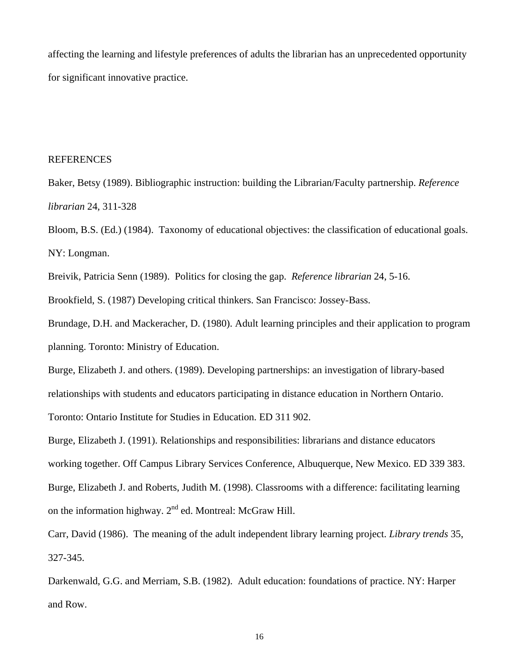affecting the learning and lifestyle preferences of adults the librarian has an unprecedented opportunity for significant innovative practice.

#### **REFERENCES**

Baker, Betsy (1989). Bibliographic instruction: building the Librarian/Faculty partnership. *Reference librarian* 24, 311-328

Bloom, B.S. (Ed.) (1984). Taxonomy of educational objectives: the classification of educational goals. NY: Longman.

Breivik, Patricia Senn (1989). Politics for closing the gap. *Reference librarian* 24, 5-16.

Brookfield, S. (1987) Developing critical thinkers. San Francisco: Jossey-Bass.

Brundage, D.H. and Mackeracher, D. (1980). Adult learning principles and their application to program planning. Toronto: Ministry of Education.

Burge, Elizabeth J. and others. (1989). Developing partnerships: an investigation of library-based relationships with students and educators participating in distance education in Northern Ontario. Toronto: Ontario Institute for Studies in Education. ED 311 902.

Burge, Elizabeth J. (1991). Relationships and responsibilities: librarians and distance educators working together. Off Campus Library Services Conference, Albuquerque, New Mexico. ED 339 383. Burge, Elizabeth J. and Roberts, Judith M. (1998). Classrooms with a difference: facilitating learning on the information highway.  $2<sup>nd</sup>$  ed. Montreal: McGraw Hill.

Carr, David (1986). The meaning of the adult independent library learning project. *Library trends* 35, 327-345.

Darkenwald, G.G. and Merriam, S.B. (1982). Adult education: foundations of practice. NY: Harper and Row.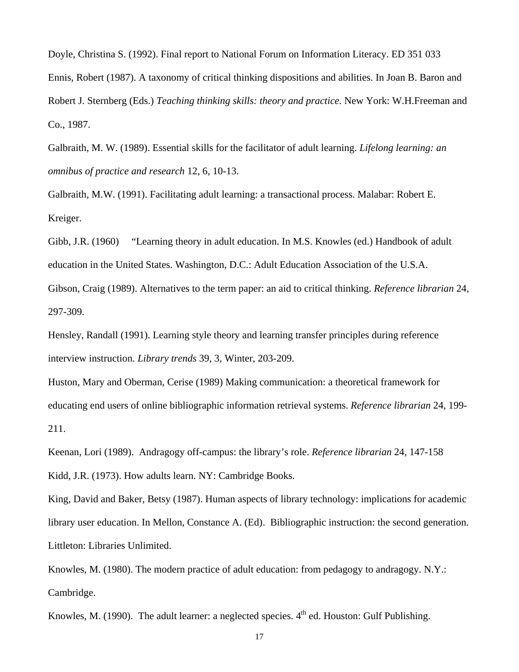Doyle, Christina S. (1992). Final report to National Forum on Information Literacy. ED 351 033 Ennis, Robert (1987). A taxonomy of critical thinking dispositions and abilities. In Joan B. Baron and Robert J. Sternberg (Eds.) *Teaching thinking skills: theory and practice.* New York: W.H.Freeman and Co., 1987.

Galbraith, M. W. (1989). Essential skills for the facilitator of adult learning. *Lifelong learning: an omnibus of practice and research* 12, 6, 10-13.

Galbraith, M.W. (1991). Facilitating adult learning: a transactional process. Malabar: Robert E. Kreiger.

Gibb, J.R. (1960) "Learning theory in adult education. In M.S. Knowles (ed.) Handbook of adult education in the United States. Washington, D.C.: Adult Education Association of the U.S.A. Gibson, Craig (1989). Alternatives to the term paper: an aid to critical thinking. *Reference librarian* 24, 297-309.

Hensley, Randall (1991). Learning style theory and learning transfer principles during reference interview instruction. *Library trends* 39, 3, Winter, 203-209.

Huston, Mary and Oberman, Cerise (1989) Making communication: a theoretical framework for educating end users of online bibliographic information retrieval systems. *Reference librarian* 24, 199- 211.

Keenan, Lori (1989). Andragogy off-campus: the library's role. *Reference librarian* 24, 147-158 Kidd, J.R. (1973). How adults learn. NY: Cambridge Books.

King, David and Baker, Betsy (1987). Human aspects of library technology: implications for academic library user education. In Mellon, Constance A. (Ed). Bibliographic instruction: the second generation. Littleton: Libraries Unlimited.

Knowles, M. (1980). The modern practice of adult education: from pedagogy to andragogy. N.Y.: Cambridge.

Knowles, M. (1990). The adult learner: a neglected species.  $4<sup>th</sup>$  ed. Houston: Gulf Publishing.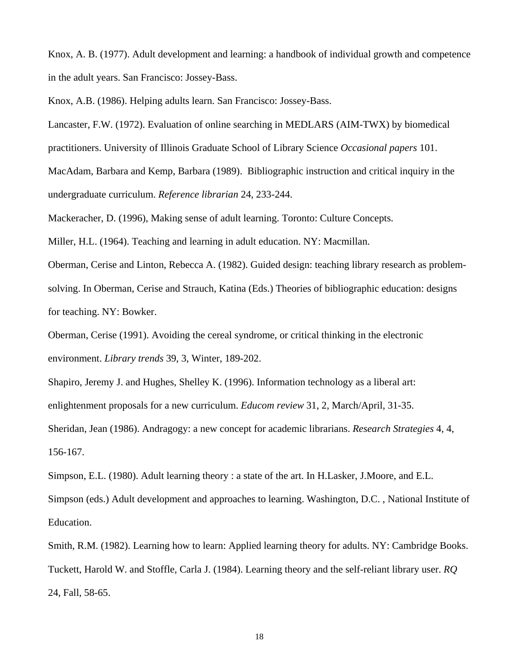Knox, A. B. (1977). Adult development and learning: a handbook of individual growth and competence in the adult years. San Francisco: Jossey-Bass.

Knox, A.B. (1986). Helping adults learn. San Francisco: Jossey-Bass.

Lancaster, F.W. (1972). Evaluation of online searching in MEDLARS (AIM-TWX) by biomedical practitioners. University of Illinois Graduate School of Library Science *Occasional papers* 101. MacAdam, Barbara and Kemp, Barbara (1989). Bibliographic instruction and critical inquiry in the undergraduate curriculum. *Reference librarian* 24, 233-244.

Mackeracher, D. (1996), Making sense of adult learning. Toronto: Culture Concepts.

Miller, H.L. (1964). Teaching and learning in adult education. NY: Macmillan.

Oberman, Cerise and Linton, Rebecca A. (1982). Guided design: teaching library research as problemsolving. In Oberman, Cerise and Strauch, Katina (Eds.) Theories of bibliographic education: designs for teaching. NY: Bowker.

Oberman, Cerise (1991). Avoiding the cereal syndrome, or critical thinking in the electronic environment. *Library trends* 39, 3, Winter, 189-202.

Shapiro, Jeremy J. and Hughes, Shelley K. (1996). Information technology as a liberal art:

enlightenment proposals for a new curriculum. *Educom review* 31, 2, March/April, 31-35.

Sheridan, Jean (1986). Andragogy: a new concept for academic librarians. *Research Strategies* 4, 4, 156-167.

Simpson, E.L. (1980). Adult learning theory : a state of the art. In H.Lasker, J.Moore, and E.L.

Simpson (eds.) Adult development and approaches to learning. Washington, D.C. , National Institute of Education.

Smith, R.M. (1982). Learning how to learn: Applied learning theory for adults. NY: Cambridge Books. Tuckett, Harold W. and Stoffle, Carla J. (1984). Learning theory and the self-reliant library user. *RQ*  24, Fall, 58-65.